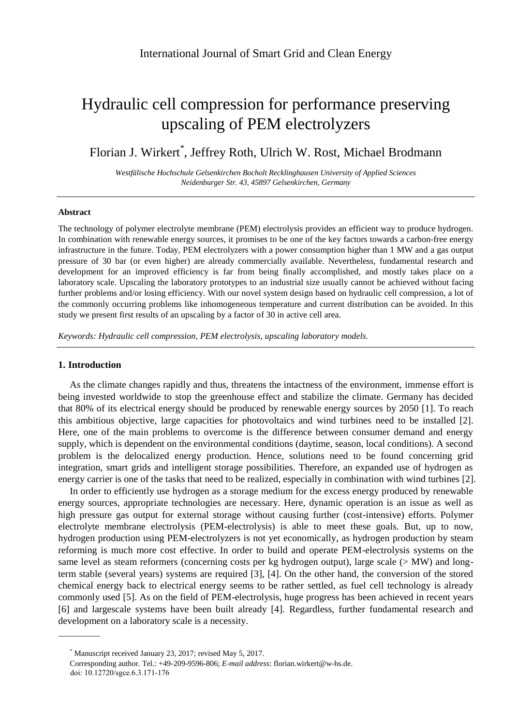# Hydraulic cell compression for performance preserving upscaling of PEM electrolyzers

Florian J. Wirkert\* , Jeffrey Roth, Ulrich W. Rost, Michael Brodmann

*Westfälische Hochschule Gelsenkirchen Bocholt Recklinghausen University of Applied Sciences Neidenburger Str. 43, 45897 Gelsenkirchen, Germany*

#### **Abstract**

The technology of polymer electrolyte membrane (PEM) electrolysis provides an efficient way to produce hydrogen. In combination with renewable energy sources, it promises to be one of the key factors towards a carbon-free energy infrastructure in the future. Today, PEM electrolyzers with a power consumption higher than 1 MW and a gas output pressure of 30 bar (or even higher) are already commercially available. Nevertheless, fundamental research and development for an improved efficiency is far from being finally accomplished, and mostly takes place on a laboratory scale. Upscaling the laboratory prototypes to an industrial size usually cannot be achieved without facing further problems and/or losing efficiency. With our novel system design based on hydraulic cell compression, a lot of the commonly occurring problems like inhomogeneous temperature and current distribution can be avoided. In this study we present first results of an upscaling by a factor of 30 in active cell area.

*Keywords: Hydraulic cell compression, PEM electrolysis, upscaling laboratory models.*

# **1. Introduction**

As the climate changes rapidly and thus, threatens the intactness of the environment, immense effort is being invested worldwide to stop the greenhouse effect and stabilize the climate. Germany has decided that 80% of its electrical energy should be produced by renewable energy sources by 2050 [1]. To reach this ambitious objective, large capacities for photovoltaics and wind turbines need to be installed [2]. Here, one of the main problems to overcome is the difference between consumer demand and energy supply, which is dependent on the environmental conditions (daytime, season, local conditions). A second problem is the delocalized energy production. Hence, solutions need to be found concerning grid integration, smart grids and intelligent storage possibilities. Therefore, an expanded use of hydrogen as energy carrier is one of the tasks that need to be realized, especially in combination with wind turbines [2].

In order to efficiently use hydrogen as a storage medium for the excess energy produced by renewable energy sources, appropriate technologies are necessary. Here, dynamic operation is an issue as well as high pressure gas output for external storage without causing further (cost-intensive) efforts. Polymer electrolyte membrane electrolysis (PEM-electrolysis) is able to meet these goals. But, up to now, hydrogen production using PEM-electrolyzers is not yet economically, as hydrogen production by steam reforming is much more cost effective. In order to build and operate PEM-electrolysis systems on the same level as steam reformers (concerning costs per kg hydrogen output), large scale (> MW) and longterm stable (several years) systems are required [3], [4]. On the other hand, the conversion of the stored chemical energy back to electrical energy seems to be rather settled, as fuel cell technology is already commonly used [5]. As on the field of PEM-electrolysis, huge progress has been achieved in recent years [6] and largescale systems have been built already [4]. Regardless, further fundamental research and development on a laboratory scale is a necessity.

<sup>\*</sup> Manuscript received January 23, 2017; revised May 5, 2017.

Corresponding author. Tel.: +49-209-9596-806; *E-mail address*: florian.wirkert@w-hs.de. doi: 10.12720/sgce.6.3.171-176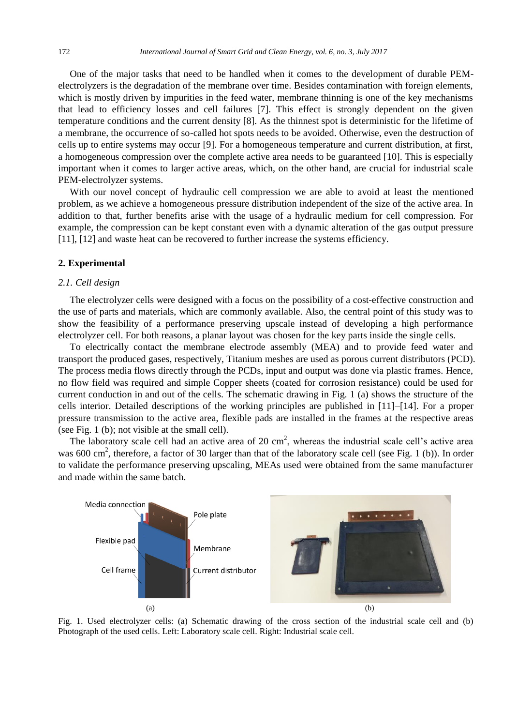One of the major tasks that need to be handled when it comes to the development of durable PEMelectrolyzers is the degradation of the membrane over time. Besides contamination with foreign elements, which is mostly driven by impurities in the feed water, membrane thinning is one of the key mechanisms that lead to efficiency losses and cell failures [7]. This effect is strongly dependent on the given temperature conditions and the current density [8]. As the thinnest spot is deterministic for the lifetime of a membrane, the occurrence of so-called hot spots needs to be avoided. Otherwise, even the destruction of cells up to entire systems may occur [9]. For a homogeneous temperature and current distribution, at first, a homogeneous compression over the complete active area needs to be guaranteed [10]. This is especially important when it comes to larger active areas, which, on the other hand, are crucial for industrial scale PEM-electrolyzer systems.

With our novel concept of hydraulic cell compression we are able to avoid at least the mentioned problem, as we achieve a homogeneous pressure distribution independent of the size of the active area. In addition to that, further benefits arise with the usage of a hydraulic medium for cell compression. For example, the compression can be kept constant even with a dynamic alteration of the gas output pressure [11], [12] and waste heat can be recovered to further increase the systems efficiency.

#### **2. Experimental**

# *2.1. Cell design*

The electrolyzer cells were designed with a focus on the possibility of a cost-effective construction and the use of parts and materials, which are commonly available. Also, the central point of this study was to show the feasibility of a performance preserving upscale instead of developing a high performance electrolyzer cell. For both reasons, a planar layout was chosen for the key parts inside the single cells.

To electrically contact the membrane electrode assembly (MEA) and to provide feed water and transport the produced gases, respectively, Titanium meshes are used as porous current distributors (PCD). The process media flows directly through the PCDs, input and output was done via plastic frames. Hence, no flow field was required and simple Copper sheets (coated for corrosion resistance) could be used for current conduction in and out of the cells. The schematic drawing in Fig. 1 (a) shows the structure of the cells interior. Detailed descriptions of the working principles are published in [11]–[14]. For a proper pressure transmission to the active area, flexible pads are installed in the frames at the respective areas (see Fig. 1 (b); not visible at the small cell).

The laboratory scale cell had an active area of 20  $\text{cm}^2$ , whereas the industrial scale cell's active area was 600 cm<sup>2</sup>, therefore, a factor of 30 larger than that of the laboratory scale cell (see Fig. 1 (b)). In order to validate the performance preserving upscaling, MEAs used were obtained from the same manufacturer and made within the same batch.



Fig. 1. Used electrolyzer cells: (a) Schematic drawing of the cross section of the industrial scale cell and (b) Photograph of the used cells. Left: Laboratory scale cell. Right: Industrial scale cell.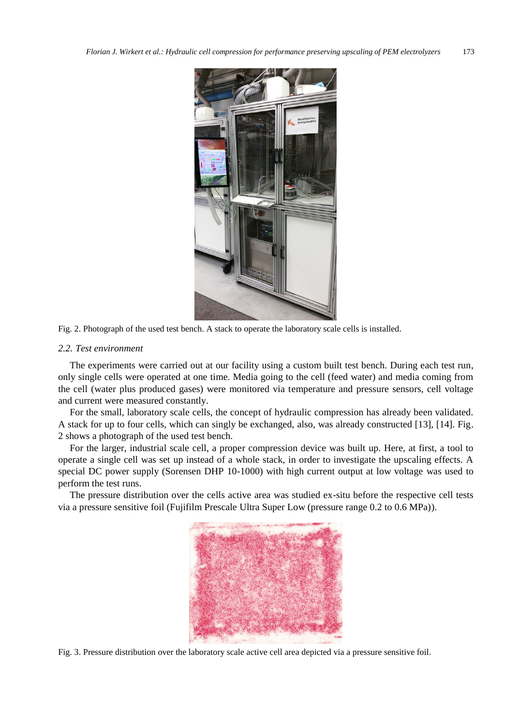

Fig. 2. Photograph of the used test bench. A stack to operate the laboratory scale cells is installed.

# *2.2. Test environment*

The experiments were carried out at our facility using a custom built test bench. During each test run, only single cells were operated at one time. Media going to the cell (feed water) and media coming from the cell (water plus produced gases) were monitored via temperature and pressure sensors, cell voltage and current were measured constantly.

For the small, laboratory scale cells, the concept of hydraulic compression has already been validated. A stack for up to four cells, which can singly be exchanged, also, was already constructed [13], [14]. Fig. 2 shows a photograph of the used test bench.

For the larger, industrial scale cell, a proper compression device was built up. Here, at first, a tool to operate a single cell was set up instead of a whole stack, in order to investigate the upscaling effects. A special DC power supply (Sorensen DHP 10-1000) with high current output at low voltage was used to perform the test runs.

The pressure distribution over the cells active area was studied ex-situ before the respective cell tests via a pressure sensitive foil (Fujifilm Prescale Ultra Super Low (pressure range 0.2 to 0.6 MPa)).



Fig. 3. Pressure distribution over the laboratory scale active cell area depicted via a pressure sensitive foil.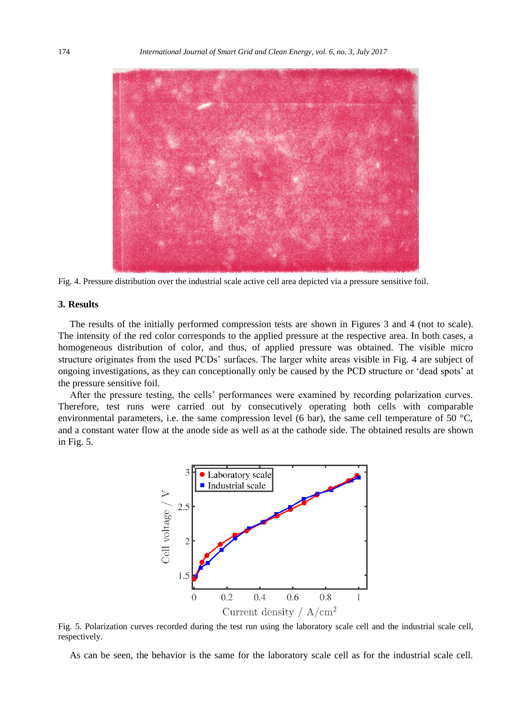

Fig. 4. Pressure distribution over the industrial scale active cell area depicted via a pressure sensitive foil.

# **3. Results**

The results of the initially performed compression tests are shown in Figures 3 and 4 (not to scale). The intensity of the red color corresponds to the applied pressure at the respective area. In both cases, a homogeneous distribution of color, and thus, of applied pressure was obtained. The visible micro structure originates from the used PCDs' surfaces. The larger white areas visible in Fig. 4 are subject of ongoing investigations, as they can conceptionally only be caused by the PCD structure or 'dead spots' at the pressure sensitive foil.

After the pressure testing, the cells' performances were examined by recording polarization curves. Therefore, test runs were carried out by consecutively operating both cells with comparable environmental parameters, i.e. the same compression level (6 bar), the same cell temperature of 50 °C, and a constant water flow at the anode side as well as at the cathode side. The obtained results are shown in Fig. 5.



Fig. 5. Polarization curves recorded during the test run using the laboratory scale cell and the industrial scale cell, respectively.

As can be seen, the behavior is the same for the laboratory scale cell as for the industrial scale cell.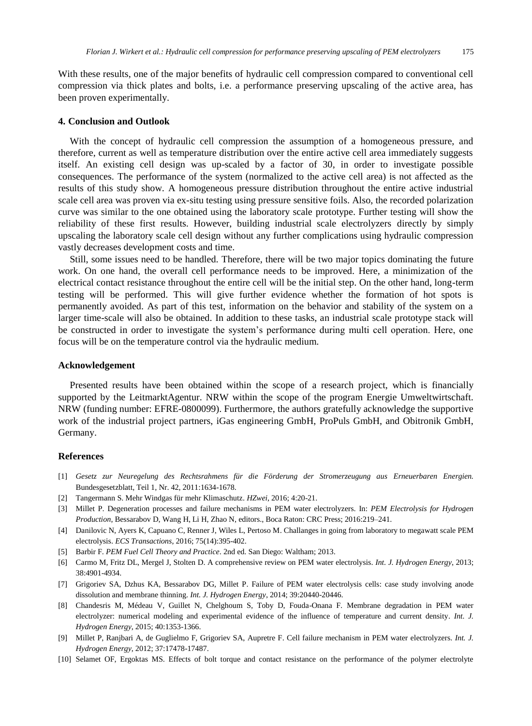With these results, one of the major benefits of hydraulic cell compression compared to conventional cell compression via thick plates and bolts, i.e. a performance preserving upscaling of the active area, has been proven experimentally.

### **4. Conclusion and Outlook**

With the concept of hydraulic cell compression the assumption of a homogeneous pressure, and therefore, current as well as temperature distribution over the entire active cell area immediately suggests itself. An existing cell design was up-scaled by a factor of 30, in order to investigate possible consequences. The performance of the system (normalized to the active cell area) is not affected as the results of this study show. A homogeneous pressure distribution throughout the entire active industrial scale cell area was proven via ex-situ testing using pressure sensitive foils. Also, the recorded polarization curve was similar to the one obtained using the laboratory scale prototype. Further testing will show the reliability of these first results. However, building industrial scale electrolyzers directly by simply upscaling the laboratory scale cell design without any further complications using hydraulic compression vastly decreases development costs and time.

Still, some issues need to be handled. Therefore, there will be two major topics dominating the future work. On one hand, the overall cell performance needs to be improved. Here, a minimization of the electrical contact resistance throughout the entire cell will be the initial step. On the other hand, long-term testing will be performed. This will give further evidence whether the formation of hot spots is permanently avoided. As part of this test, information on the behavior and stability of the system on a larger time-scale will also be obtained. In addition to these tasks, an industrial scale prototype stack will be constructed in order to investigate the system's performance during multi cell operation. Here, one focus will be on the temperature control via the hydraulic medium.

# **Acknowledgement**

Presented results have been obtained within the scope of a research project, which is financially supported by the LeitmarktAgentur. NRW within the scope of the program Energie Umweltwirtschaft. NRW (funding number: EFRE-0800099). Furthermore, the authors gratefully acknowledge the supportive work of the industrial project partners, iGas engineering GmbH, ProPuls GmbH, and Obitronik GmbH, Germany.

# **References**

- [1] *Gesetz zur Neuregelung des Rechtsrahmens für die Förderung der Stromerzeugung aus Erneuerbaren Energien.* Bundesgesetzblatt, Teil 1, Nr. 42, 2011:1634-1678.
- [2] Tangermann S. Mehr Windgas für mehr Klimaschutz. *HZwei*, 2016; 4:20-21.
- [3] Millet P. Degeneration processes and failure mechanisms in PEM water electrolyzers. In: *PEM Electrolysis for Hydrogen Production*, Bessarabov D, Wang H, Li H, Zhao N, editors., Boca Raton: CRC Press; 2016:219–241.
- [4] Danilovic N, Ayers K, Capuano C, Renner J, Wiles L, Pertoso M. Challanges in going from laboratory to megawatt scale PEM electrolysis. *ECS Transactions*, 2016; 75(14):395-402.
- [5] Barbir F. *PEM Fuel Cell Theory and Practice*. 2nd ed. San Diego: Waltham; 2013.
- [6] Carmo M, Fritz DL, Mergel J, Stolten D. A comprehensive review on PEM water electrolysis. *Int. J. Hydrogen Energy*, 2013; 38:4901-4934.
- [7] Grigoriev SA, Dzhus KA, Bessarabov DG, Millet P. Failure of PEM water electrolysis cells: case study involving anode dissolution and membrane thinning. *Int. J. Hydrogen Energy*, 2014; 39:20440-20446.
- [8] Chandesris M, Médeau V, Guillet N, Chelghoum S, Toby D, Fouda-Onana F. Membrane degradation in PEM water electrolyzer: numerical modeling and experimental evidence of the influence of temperature and current density. *Int. J. Hydrogen Energy*, 2015; 40:1353-1366.
- [9] Millet P, Ranjbari A, de Guglielmo F, Grigoriev SA, Aupretre F. Cell failure mechanism in PEM water electrolyzers. *Int. J. Hydrogen Energy*, 2012; 37:17478-17487.
- [10] Selamet OF, Ergoktas MS. Effects of bolt torque and contact resistance on the performance of the polymer electrolyte